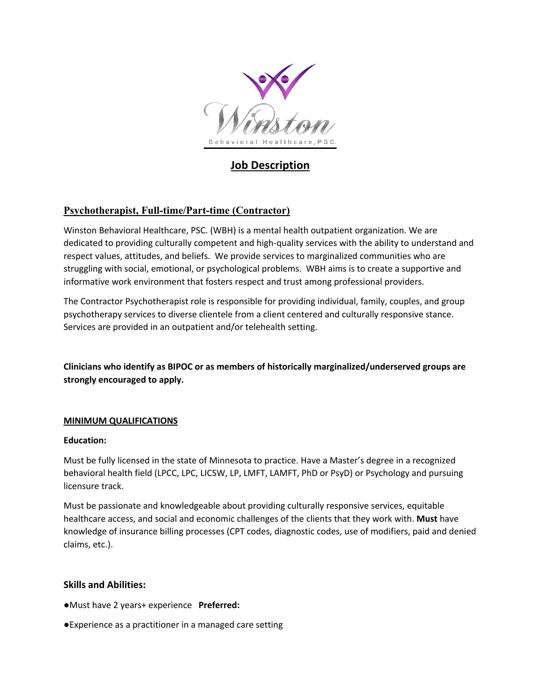

# **Job Description**

## **Psychotherapist, Full-time/Part-time (Contractor)**

Winston Behavioral Healthcare, PSC. (WBH) is a mental health outpatient organization. We are dedicated to providing culturally competent and high-quality services with the ability to understand and respect values, attitudes, and beliefs. We provide services to marginalized communities who are struggling with social, emotional, or psychological problems. WBH aims is to create a supportive and informative work environment that fosters respect and trust among professional providers.

The Contractor Psychotherapist role is responsible for providing individual, family, couples, and group psychotherapy services to diverse clientele from a client centered and culturally responsive stance. Services are provided in an outpatient and/or telehealth setting.

**Clinicians who identify as BIPOC or as members of historically marginalized/underserved groups are strongly encouraged to apply.**

#### **MINIMUM QUALIFICATIONS**

#### **Education:**

Must be fully licensed in the state of Minnesota to practice. Have a Master's degree in a recognized behavioral health field (LPCC, LPC, LICSW, LP, LMFT, LAMFT, PhD or PsyD) or Psychology and pursuing licensure track.

Must be passionate and knowledgeable about providing culturally responsive services, equitable healthcare access, and social and economic challenges of the clients that they work with. **Must** have knowledge of insurance billing processes (CPT codes, diagnostic codes, use of modifiers, paid and denied claims, etc.).

#### **Skills and Abilities:**

- ●Must have 2 years+ experience **Preferred:**
- ●Experience as a practitioner in a managed care setting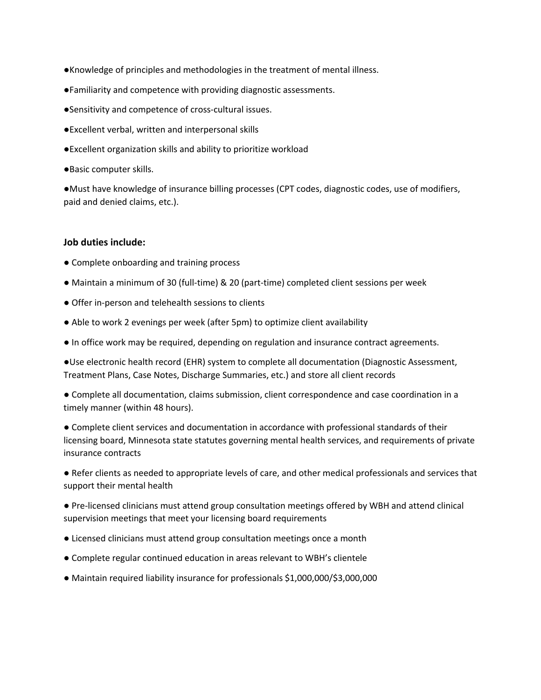- ●Knowledge of principles and methodologies in the treatment of mental illness.
- ●Familiarity and competence with providing diagnostic assessments.
- ●Sensitivity and competence of cross-cultural issues.
- ●Excellent verbal, written and interpersonal skills
- ●Excellent organization skills and ability to prioritize workload
- ●Basic computer skills.

●Must have knowledge of insurance billing processes (CPT codes, diagnostic codes, use of modifiers, paid and denied claims, etc.).

#### **Job duties include:**

- Complete onboarding and training process
- Maintain a minimum of 30 (full-time) & 20 (part-time) completed client sessions per week
- Offer in-person and telehealth sessions to clients
- Able to work 2 evenings per week (after 5pm) to optimize client availability
- In office work may be required, depending on regulation and insurance contract agreements.

●Use electronic health record (EHR) system to complete all documentation (Diagnostic Assessment, Treatment Plans, Case Notes, Discharge Summaries, etc.) and store all client records

● Complete all documentation, claims submission, client correspondence and case coordination in a timely manner (within 48 hours).

● Complete client services and documentation in accordance with professional standards of their licensing board, Minnesota state statutes governing mental health services, and requirements of private insurance contracts

● Refer clients as needed to appropriate levels of care, and other medical professionals and services that support their mental health

● Pre-licensed clinicians must attend group consultation meetings offered by WBH and attend clinical supervision meetings that meet your licensing board requirements

- Licensed clinicians must attend group consultation meetings once a month
- Complete regular continued education in areas relevant to WBH's clientele
- Maintain required liability insurance for professionals \$1,000,000/\$3,000,000